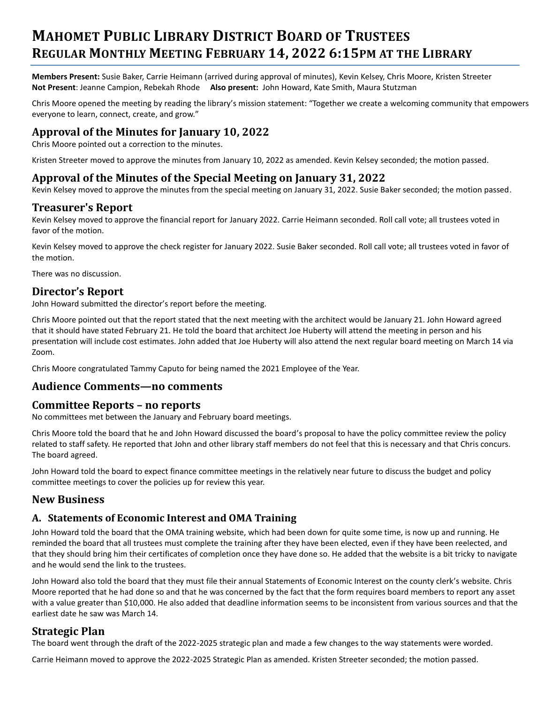# **MAHOMET PUBLIC LIBRARY DISTRICT BOARD OF TRUSTEES REGULAR MONTHLY MEETING FEBRUARY 14, 2022 6:15PM AT THE LIBRARY**

**Members Present:** Susie Baker, Carrie Heimann (arrived during approval of minutes), Kevin Kelsey, Chris Moore, Kristen Streeter **Not Present**: Jeanne Campion, Rebekah Rhode **Also present:** John Howard, Kate Smith, Maura Stutzman

Chris Moore opened the meeting by reading the library's mission statement: "Together we create a welcoming community that empowers everyone to learn, connect, create, and grow."

# **Approval of the Minutes for January 10, 2022**

Chris Moore pointed out a correction to the minutes.

Kristen Streeter moved to approve the minutes from January 10, 2022 as amended. Kevin Kelsey seconded; the motion passed.

## **Approval of the Minutes of the Special Meeting on January 31, 2022**

Kevin Kelsey moved to approve the minutes from the special meeting on January 31, 2022. Susie Baker seconded; the motion passed.

#### **Treasurer's Report**

Kevin Kelsey moved to approve the financial report for January 2022. Carrie Heimann seconded. Roll call vote; all trustees voted in favor of the motion.

Kevin Kelsey moved to approve the check register for January 2022. Susie Baker seconded. Roll call vote; all trustees voted in favor of the motion.

There was no discussion.

#### **Director's Report**

John Howard submitted the director's report before the meeting.

Chris Moore pointed out that the report stated that the next meeting with the architect would be January 21. John Howard agreed that it should have stated February 21. He told the board that architect Joe Huberty will attend the meeting in person and his presentation will include cost estimates. John added that Joe Huberty will also attend the next regular board meeting on March 14 via Zoom.

Chris Moore congratulated Tammy Caputo for being named the 2021 Employee of the Year.

#### **Audience Comments—no comments**

#### **Committee Reports – no reports**

No committees met between the January and February board meetings.

Chris Moore told the board that he and John Howard discussed the board's proposal to have the policy committee review the policy related to staff safety. He reported that John and other library staff members do not feel that this is necessary and that Chris concurs. The board agreed.

John Howard told the board to expect finance committee meetings in the relatively near future to discuss the budget and policy committee meetings to cover the policies up for review this year.

#### **New Business**

#### **A. Statements of Economic Interest and OMA Training**

John Howard told the board that the OMA training website, which had been down for quite some time, is now up and running. He reminded the board that all trustees must complete the training after they have been elected, even if they have been reelected, and that they should bring him their certificates of completion once they have done so. He added that the website is a bit tricky to navigate and he would send the link to the trustees.

John Howard also told the board that they must file their annual Statements of Economic Interest on the county clerk's website. Chris Moore reported that he had done so and that he was concerned by the fact that the form requires board members to report any asset with a value greater than \$10,000. He also added that deadline information seems to be inconsistent from various sources and that the earliest date he saw was March 14.

#### **Strategic Plan**

The board went through the draft of the 2022-2025 strategic plan and made a few changes to the way statements were worded.

Carrie Heimann moved to approve the 2022-2025 Strategic Plan as amended. Kristen Streeter seconded; the motion passed.